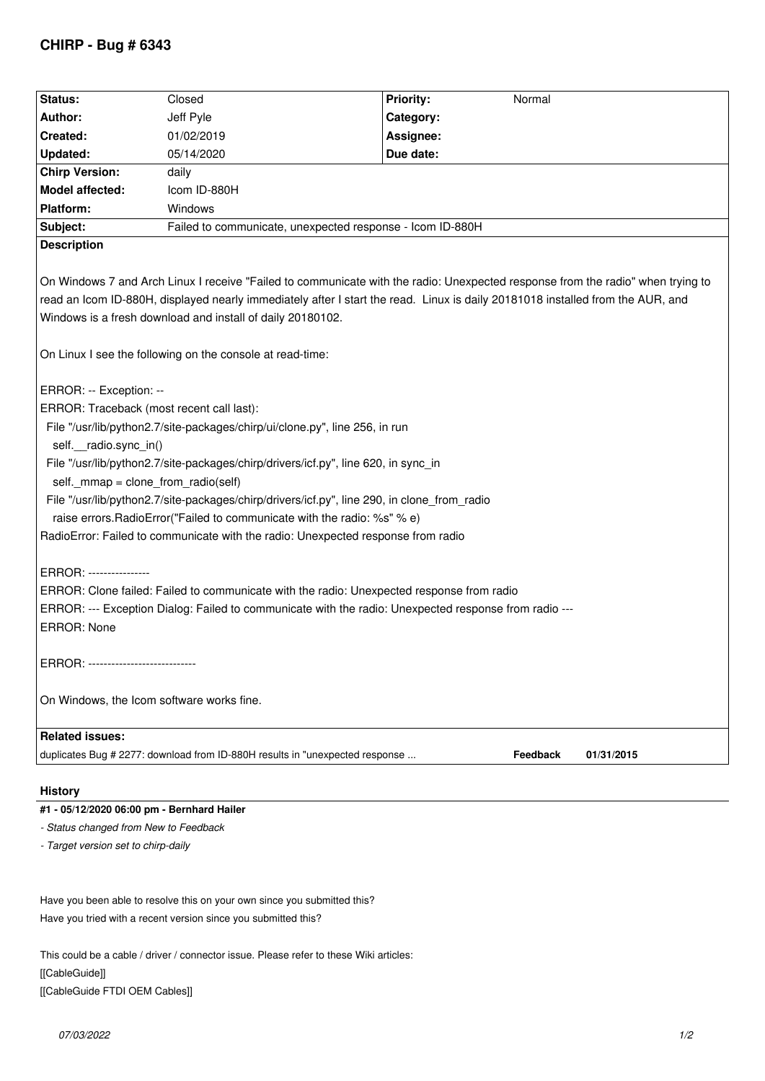## **CHIRP - Bug # 6343**

| Status:                                                                                                                                                                                                                                                                                                                                                                                                                                                                                                                                                                    | Closed                                                    | <b>Priority:</b><br>Normal |
|----------------------------------------------------------------------------------------------------------------------------------------------------------------------------------------------------------------------------------------------------------------------------------------------------------------------------------------------------------------------------------------------------------------------------------------------------------------------------------------------------------------------------------------------------------------------------|-----------------------------------------------------------|----------------------------|
| Author:                                                                                                                                                                                                                                                                                                                                                                                                                                                                                                                                                                    | Jeff Pyle                                                 | Category:                  |
| Created:                                                                                                                                                                                                                                                                                                                                                                                                                                                                                                                                                                   | 01/02/2019                                                | Assignee:                  |
| Updated:                                                                                                                                                                                                                                                                                                                                                                                                                                                                                                                                                                   | 05/14/2020                                                | Due date:                  |
| <b>Chirp Version:</b>                                                                                                                                                                                                                                                                                                                                                                                                                                                                                                                                                      | daily                                                     |                            |
| Model affected:                                                                                                                                                                                                                                                                                                                                                                                                                                                                                                                                                            | Icom ID-880H                                              |                            |
| Platform:                                                                                                                                                                                                                                                                                                                                                                                                                                                                                                                                                                  | Windows                                                   |                            |
| Subject:                                                                                                                                                                                                                                                                                                                                                                                                                                                                                                                                                                   | Failed to communicate, unexpected response - Icom ID-880H |                            |
| <b>Description</b>                                                                                                                                                                                                                                                                                                                                                                                                                                                                                                                                                         |                                                           |                            |
| On Windows 7 and Arch Linux I receive "Failed to communicate with the radio: Unexpected response from the radio" when trying to<br>read an Icom ID-880H, displayed nearly immediately after I start the read. Linux is daily 20181018 installed from the AUR, and<br>Windows is a fresh download and install of daily 20180102.                                                                                                                                                                                                                                            |                                                           |                            |
| On Linux I see the following on the console at read-time:                                                                                                                                                                                                                                                                                                                                                                                                                                                                                                                  |                                                           |                            |
| ERROR: -- Exception: --<br>ERROR: Traceback (most recent call last):<br>File "/usr/lib/python2.7/site-packages/chirp/ui/clone.py", line 256, in run<br>self. radio.sync_in()<br>File "/usr/lib/python2.7/site-packages/chirp/drivers/icf.py", line 620, in sync_in<br>self._mmap = clone_from_radio(self)<br>File "/usr/lib/python2.7/site-packages/chirp/drivers/icf.py", line 290, in clone_from_radio<br>raise errors. Radio Error ("Failed to communicate with the radio: %s" % e)<br>RadioError: Failed to communicate with the radio: Unexpected response from radio |                                                           |                            |
| ERROR: ----------------                                                                                                                                                                                                                                                                                                                                                                                                                                                                                                                                                    |                                                           |                            |
| ERROR: Clone failed: Failed to communicate with the radio: Unexpected response from radio                                                                                                                                                                                                                                                                                                                                                                                                                                                                                  |                                                           |                            |
| ERROR: --- Exception Dialog: Failed to communicate with the radio: Unexpected response from radio ---                                                                                                                                                                                                                                                                                                                                                                                                                                                                      |                                                           |                            |
| <b>ERROR: None</b>                                                                                                                                                                                                                                                                                                                                                                                                                                                                                                                                                         |                                                           |                            |
| ERROR: ----------------------------                                                                                                                                                                                                                                                                                                                                                                                                                                                                                                                                        |                                                           |                            |
| On Windows, the Icom software works fine.                                                                                                                                                                                                                                                                                                                                                                                                                                                                                                                                  |                                                           |                            |
| <b>Related issues:</b>                                                                                                                                                                                                                                                                                                                                                                                                                                                                                                                                                     |                                                           |                            |
| duplicates Bug # 2277: download from ID-880H results in "unexpected response<br>Feedback<br>01/31/2015                                                                                                                                                                                                                                                                                                                                                                                                                                                                     |                                                           |                            |
|                                                                                                                                                                                                                                                                                                                                                                                                                                                                                                                                                                            |                                                           |                            |
|                                                                                                                                                                                                                                                                                                                                                                                                                                                                                                                                                                            |                                                           |                            |

## **History**

## **#1 - 05/12/2020 06:00 pm - Bernhard Hailer**

- *Status changed from New to Feedback*
- *Target version set to chirp-daily*

*Have you been able to resolve this on your own since you submitted this? Have you tried with a recent version since you submitted this?*

*This could be a cable / driver / connector issue. Please refer to these Wiki articles: [[CableGuide]] [[CableGuide FTDI OEM Cables]]*